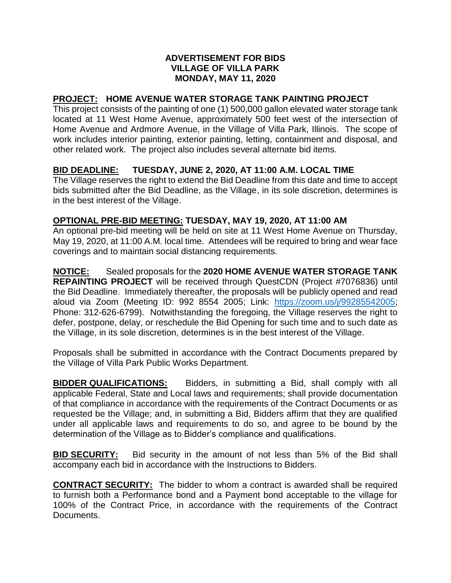### **ADVERTISEMENT FOR BIDS VILLAGE OF VILLA PARK MONDAY, MAY 11, 2020**

# **PROJECT: HOME AVENUE WATER STORAGE TANK PAINTING PROJECT**

This project consists of the painting of one (1) 500,000 gallon elevated water storage tank located at 11 West Home Avenue, approximately 500 feet west of the intersection of Home Avenue and Ardmore Avenue, in the Village of Villa Park, Illinois. The scope of work includes interior painting, exterior painting, letting, containment and disposal, and other related work. The project also includes several alternate bid items.

## **BID DEADLINE: TUESDAY, JUNE 2, 2020, AT 11:00 A.M. LOCAL TIME**

The Village reserves the right to extend the Bid Deadline from this date and time to accept bids submitted after the Bid Deadline, as the Village, in its sole discretion, determines is in the best interest of the Village.

#### **OPTIONAL PRE-BID MEETING: TUESDAY, MAY 19, 2020, AT 11:00 AM**

An optional pre-bid meeting will be held on site at 11 West Home Avenue on Thursday, May 19, 2020, at 11:00 A.M. local time. Attendees will be required to bring and wear face coverings and to maintain social distancing requirements.

**NOTICE:** Sealed proposals for the **2020 HOME AVENUE WATER STORAGE TANK REPAINTING PROJECT** will be received through QuestCDN (Project #7076836) until the Bid Deadline. Immediately thereafter, the proposals will be publicly opened and read aloud via Zoom (Meeting ID: 992 8554 2005; Link: [https://zoom.us/j/99285542005;](https://zoom.us/j/99285542005) Phone: 312-626-6799). Notwithstanding the foregoing, the Village reserves the right to defer, postpone, delay, or reschedule the Bid Opening for such time and to such date as the Village, in its sole discretion, determines is in the best interest of the Village.

Proposals shall be submitted in accordance with the Contract Documents prepared by the Village of Villa Park Public Works Department.

**BIDDER QUALIFICATIONS:** Bidders, in submitting a Bid, shall comply with all applicable Federal, State and Local laws and requirements; shall provide documentation of that compliance in accordance with the requirements of the Contract Documents or as requested be the Village; and, in submitting a Bid, Bidders affirm that they are qualified under all applicable laws and requirements to do so, and agree to be bound by the determination of the Village as to Bidder's compliance and qualifications.

**BID SECURITY:** Bid security in the amount of not less than 5% of the Bid shall accompany each bid in accordance with the Instructions to Bidders.

**CONTRACT SECURITY:** The bidder to whom a contract is awarded shall be required to furnish both a Performance bond and a Payment bond acceptable to the village for 100% of the Contract Price, in accordance with the requirements of the Contract Documents.